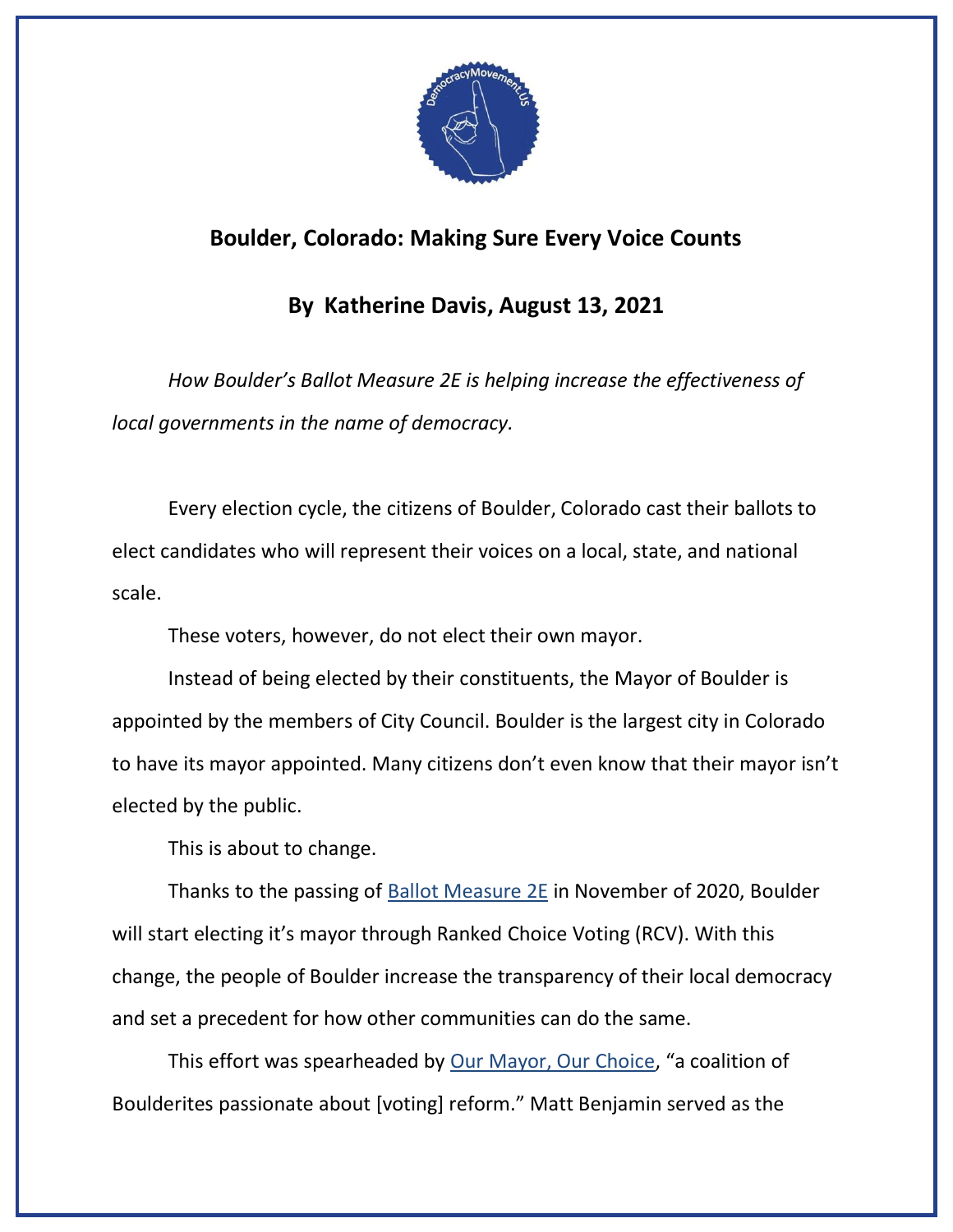

## **Boulder, Colorado: Making Sure Every Voice Counts**

## **By Katherine Davis, August 13, 2021**

*How Boulder's Ballot Measure 2E is helping increase the effectiveness of local governments in the name of democracy.*

Every election cycle, the citizens of Boulder, Colorado cast their ballots to elect candidates who will represent their voices on a local, state, and national scale.

These voters, however, do not elect their own mayor.

Instead of being elected by their constituents, the Mayor of Boulder is appointed by the members of City Council. Boulder is the largest city in Colorado to have its mayor appointed. Many citizens don't even know that their mayor isn't elected by the public.

This is about to change.

Thanks to the passing of **Ballot Measure 2E** in November of 2020, Boulder will start electing it's mayor through Ranked Choice Voting (RCV). With this change, the people of Boulder increase the transparency of their local democracy and set a precedent for how other communities can do the same.

This effort was spearheaded by [Our Mayor, Our Choice](https://www.fairvote.org/boulder_voters_have_opportunity_to_adopt_ranked_choice_voting), "a coalition of Boulderites passionate about [voting] reform." Matt Benjamin served as the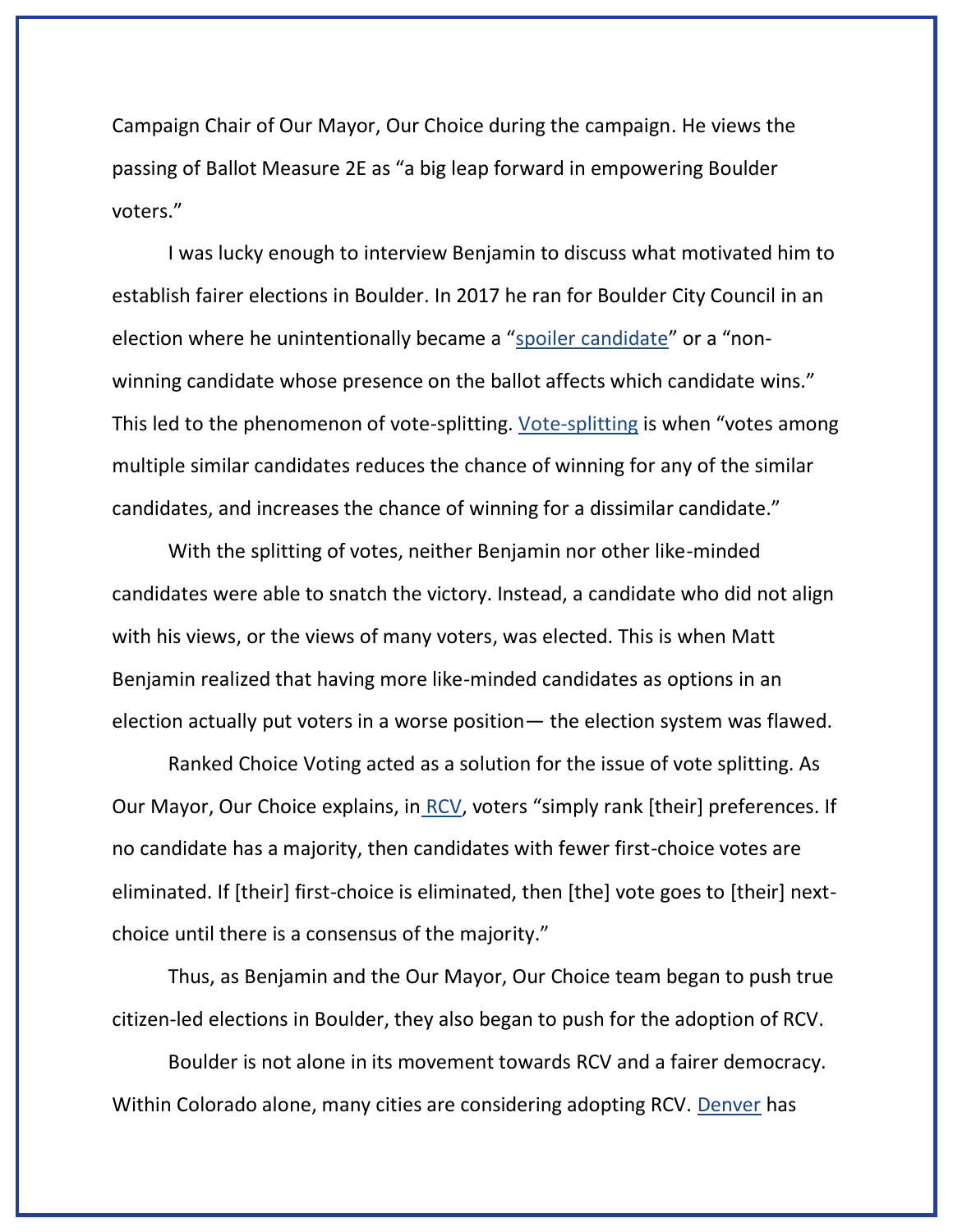Campaign Chair of Our Mayor, Our Choice during the campaign. He views the passing of Ballot Measure 2E as "a big leap forward in empowering Boulder voters."

I was lucky enough to interview Benjamin to discuss what motivated him to establish fairer elections in Boulder. In 2017 he ran for Boulder City Council in an election where he unintentionally became a "[spoiler candidate](https://electionscience.org/library/the-spoiler-effect/)" or a "nonwinning candidate whose presence on the ballot affects which candidate wins." This led to the phenomenon of vote-splitting. [Vote-splitting](https://en.wikipedia.org/wiki/Vote_splitting) is when "votes among multiple similar candidates reduces the chance of winning for any of the similar candidates, and increases the chance of winning for a dissimilar candidate."

With the splitting of votes, neither Benjamin nor other like-minded candidates were able to snatch the victory. Instead, a candidate who did not align with his views, or the views of many voters, was elected. This is when Matt Benjamin realized that having more like-minded candidates as options in an election actually put voters in a worse position— the election system was flawed.

Ranked Choice Voting acted as a solution for the issue of vote splitting. As Our Mayor, Our Choice explains, in [RCV,](https://www.ourmayor-ourchoice.org/ranked-choice-voting) voters "simply rank [their] preferences. If no candidate has a majority, then candidates with fewer first-choice votes are eliminated. If [their] first-choice is eliminated, then [the] vote goes to [their] nextchoice until there is a consensus of the majority."

Thus, as Benjamin and the Our Mayor, Our Choice team began to push true citizen-led elections in Boulder, they also began to push for the adoption of RCV.

Boulder is not alone in its movement towards RCV and a fairer democracy. Within Colorado alone, many cities are considering adopting RCV. [Denver](https://www.thedenverchannel.com/news/local-news/denvers-clerk-and-recorder-recommends-city-council-consider-ranked-choice-voting) has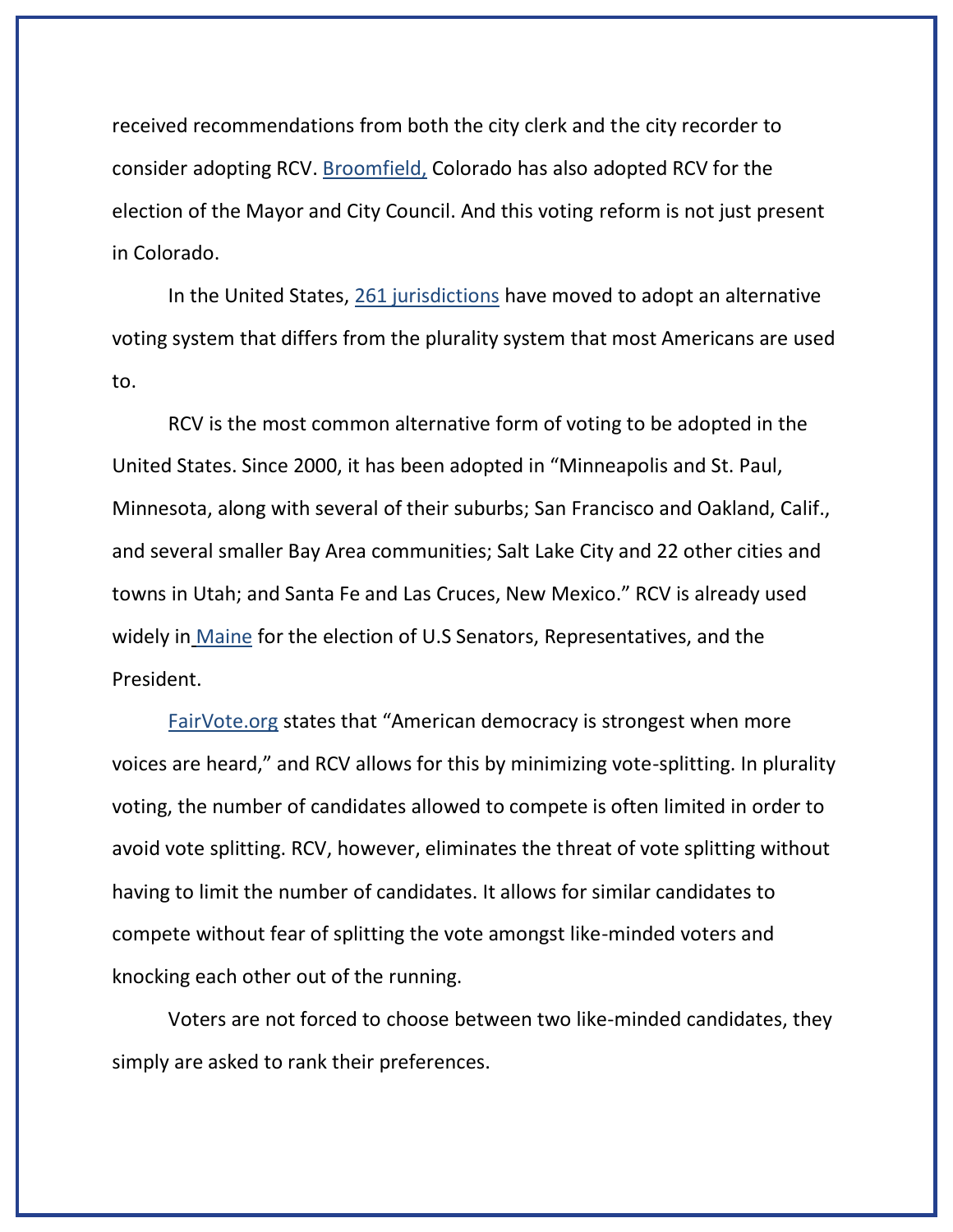received recommendations from both the city clerk and the city recorder to consider adopting RCV. [Broomfield,](https://docs.google.com/document/d/1HoCGWCO4JRVBH2VerG-PDkHEZsIjXcmyTJO3-XzTNz0/edit) Colorado has also adopted RCV for the election of the Mayor and City Council. And this voting reform is not just present in Colorado.

In the United States, [261 jurisdictions](https://www.pewresearch.org/fact-tank/2021/06/29/more-u-s-locations-experimenting-with-alternative-voting-systems/) have moved to adopt an alternative voting system that differs from the plurality system that most Americans are used to.

RCV is the most common alternative form of voting to be adopted in the United States. Since 2000, it has been adopted in "Minneapolis and St. Paul, Minnesota, along with several of their suburbs; San Francisco and Oakland, Calif., and several smaller Bay Area communities; Salt Lake City and 22 other cities and towns in Utah; and Santa Fe and Las Cruces, New Mexico." RCV is already used widely in [Maine](https://www.pewresearch.org/fact-tank/2021/06/29/more-u-s-locations-experimenting-with-alternative-voting-systems/) for the election of U.S Senators, Representatives, and the President.

[FairVote.org](https://www.fairvote.org/rcvbenefits) states that "American democracy is strongest when more voices are heard," and RCV allows for this by minimizing vote-splitting. In plurality voting, the number of candidates allowed to compete is often limited in order to avoid vote splitting. RCV, however, eliminates the threat of vote splitting without having to limit the number of candidates. It allows for similar candidates to compete without fear of splitting the vote amongst like-minded voters and knocking each other out of the running.

Voters are not forced to choose between two like-minded candidates, they simply are asked to rank their preferences.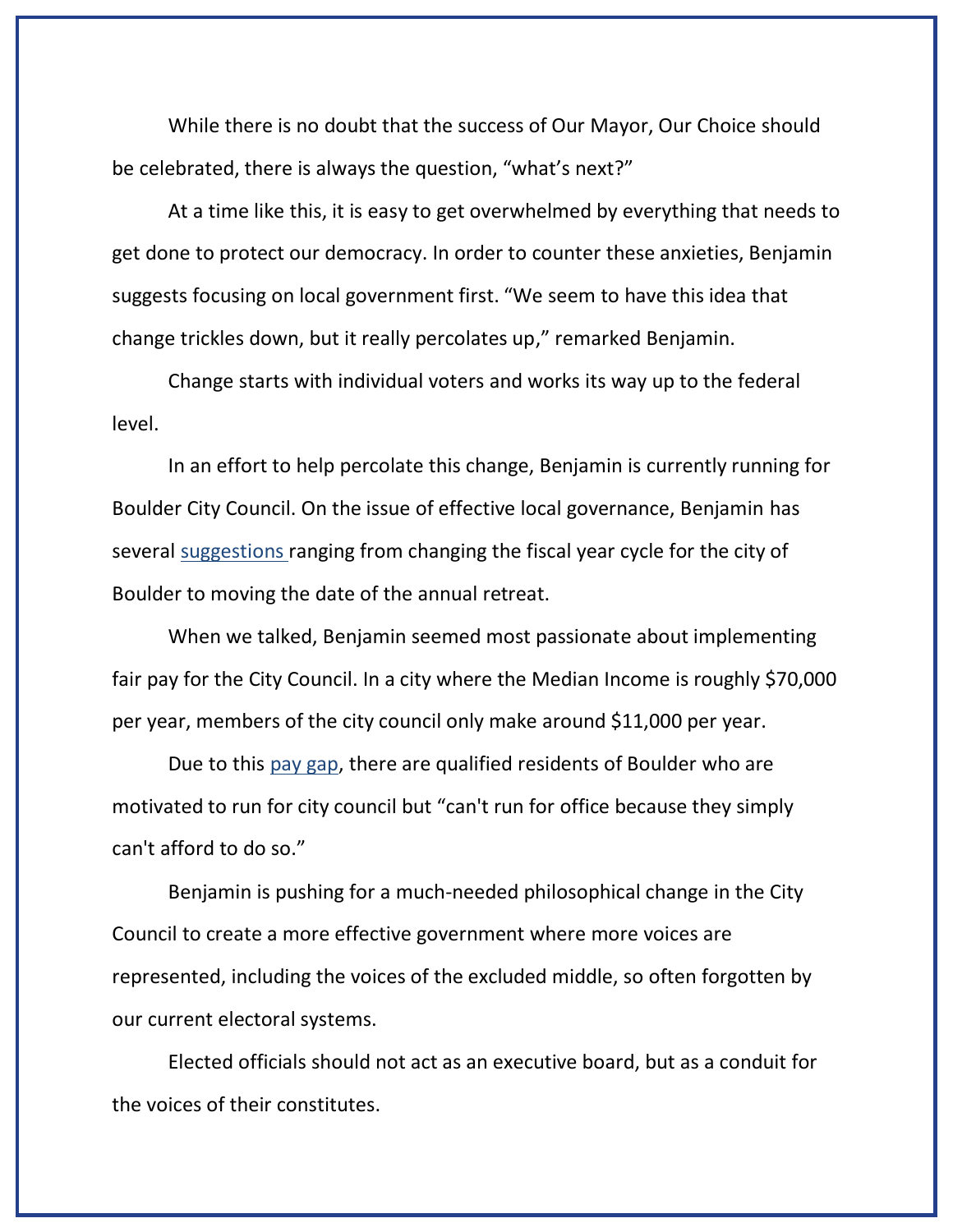While there is no doubt that the success of Our Mayor, Our Choice should be celebrated, there is always the question, "what's next?"

At a time like this, it is easy to get overwhelmed by everything that needs to get done to protect our democracy. In order to counter these anxieties, Benjamin suggests focusing on local government first. "We seem to have this idea that change trickles down, but it really percolates up," remarked Benjamin.

Change starts with individual voters and works its way up to the federal level.

In an effort to help percolate this change, Benjamin is currently running for Boulder City Council. On the issue of effective local governance, Benjamin has several [suggestions](https://www.mattbenjaminforcouncil.com/effective-governance) ranging from changing the fiscal year cycle for the city of Boulder to moving the date of the annual retreat.

When we talked, Benjamin seemed most passionate about implementing fair pay for the City Council. In a city where the Median Income is roughly \$70,000 per year, members of the city council only make around \$11,000 per year.

Due to this [pay gap,](https://www.mattbenjaminforcouncil.com/effective-governance) there are qualified residents of Boulder who are motivated to run for city council but "can't run for office because they simply can't afford to do so."

Benjamin is pushing for a much-needed philosophical change in the City Council to create a more effective government where more voices are represented, including the voices of the excluded middle, so often forgotten by our current electoral systems.

Elected officials should not act as an executive board, but as a conduit for the voices of their constitutes.